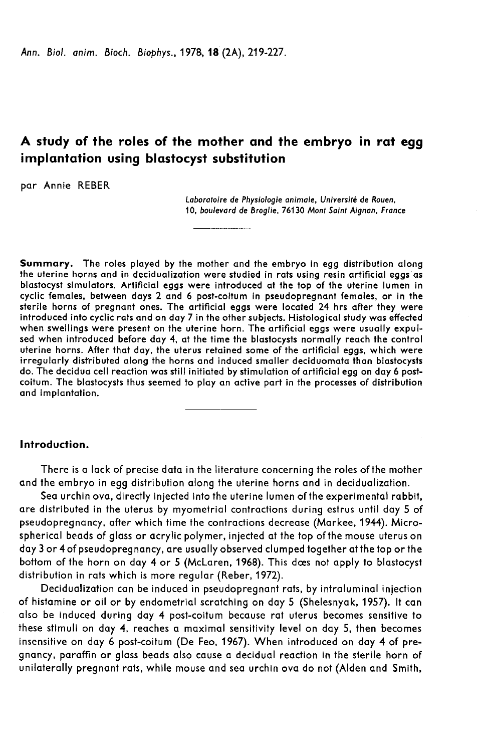# A study of the roles of the mother and the embryo in rat egg implantation using blastocyst substitution

Annie REBER

Laboratoire de Physiologie animale, Université de Rouen, 10, boulevard de Broglie, 76130 Mont Saint Aignan, France

Summary. The roles played by the mother and the embryo in egg distribution along the uterine horns and in decidualization were studied in rats using resin artificial eggs as blastocyst simulators. Artificial eggs were introduced at the top of the uterine lumen in cyclic females, between days 2 and 6 post-coitum in pseudopregnant females, or in the sterile horns of pregnant ones. The artificial eggs were located 24 hrs after they were introduced into cyclic rats and on day 7 in the other subjects. Histological study was effected when swellings were present on the uterine horn. The artificial eggs were usually expulsed when introduced before day 4, at the time the blastocysts normally reach the control uterine horns. After that day, the uterus retained some of the artificial eggs, which were irregularly distributed along the horns and induced smaller deciduomata than blastocysts do. The decidua cell reaction was still initiated by stimulation of artificial egg on day 6 postcoitum. The blastocysts thus seemed to play an active part in the processes of distribution and implantation.

# Introduction.

There is a lack of precise data in the literature concerning the roles of the mother and the embryo in egg distribution along the uterine horns and in decidualization.

Sea urchin ova, directly injected into the uterine lumen of the experimental rabbit, are distributed in the uterus by myometrial contractions during estrus until day 5 of pseudopregnancy, after which time the contractions decrease (Markee, 1944). Microspherical beads of glass or acrylic polymer, injected at the top of the mouse uterus on day 3 or 4 of pseudopregnancy, are usually observed clumped together at the top or the bottom of the horn on day 4 or 5 (McLaren, 1968). This does not apply to blastocyst distribution in rats which is more regular (Reber, 1972).

Decidualization can be induced in pseudopregnant rats, by intraluminal injection of histamine or oil or by endometrial scratching on day 5 (Shelesnyak, 1957). It can also be induced during day 4 post-coitum because rat uterus becomes sensitive to these stimuli on day 4, reaches a maximal sensitivity level on day 5, then becomes insensitive on day 6 post-coitum (De Feo, 1967). When introduced on day 4 of pregnancy, paraffin or glass beads also cause a decidual reaction in the sterile horn of unilaterally pregnant rats, while mouse and sea urchin ova do not (Alden and Smith,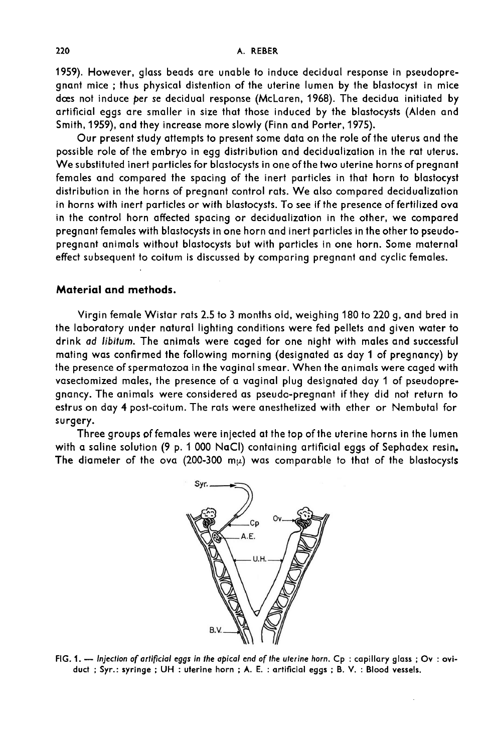1959). However, glass beads are unable to induce decidual response in pseudopregnant mice ; thus physical distention of the uterine lumen by the blastocyst in mice does not induce per se decidual response (McLaren, 1968). The decidua initiated by artificial eggs are smaller in size that those induced by the blastocysts (Alden and Smith, 1959), and they increase more slowly (Finn and Porter, 1975).

Our present study attempts to present some data on the role of the uterus and the possible role of the embryo in egg distribution and decidualization in the rat uterus. We substituted inert particles for blastocysts in one of the two uterine horns of pregnant females and compared the spacing of the inert particles in that horn to blastocyst distribution in the horns of pregnant control rats. We also compared decidualization in horns with inert particles or with blastocysts. To see if the presence of fertilized ova in the control horn affected spacing or decidualization in the other, we compared pregnant females with blastocysts in one horn and inert particles in the other to pseudopregnant animals without blastocysts but with particles in one horn. Some maternal effect subsequent to coitum is discussed by comparing pregnant and cyclic females.

## Material and methods.

Virgin female Wistar rats 2.5 to 3 months old, weighing 180 to 220 g, and bred in the laboratory under natural lighting conditions were fed pellets and given water to drink ad libitum. The animals were caged for one night with males and successful mating was confirmed the following morning (designated as day 1 of pregnancy) by the presence of spermatozoa in the vaginal smear. When the animals were caged with vasectomized males, the presence of a vaginal plug designated day 1 of pseudopregnancy. The animals were considered as pseudo-pregnant if they did not return to estrus on day 4 post-coitum. The rats were anesthetized with ether or Nembutal for surgery.<br>Three groups of females were injected at the top of the uterine horns in the lumen vasectomized males, the presence of a vaginal plug designated day 1 of pseudopregnancy. The animals were considered as pseudo-pregnant if they did not return to estrus on day 4 post-coitum. The rats were anesthetized with

The diameter of the ova (200-300 my) was comparable to that of the blastocysis



FIG. 1. --- Injection of artificial eggs in the apical end of the uterine horn. Cp : capillary glass ; Ov : oviduct ; Syr.: syringe ; UH : uterine horn ; A. E. : artificial eggs ; B. V. : Blood vessels.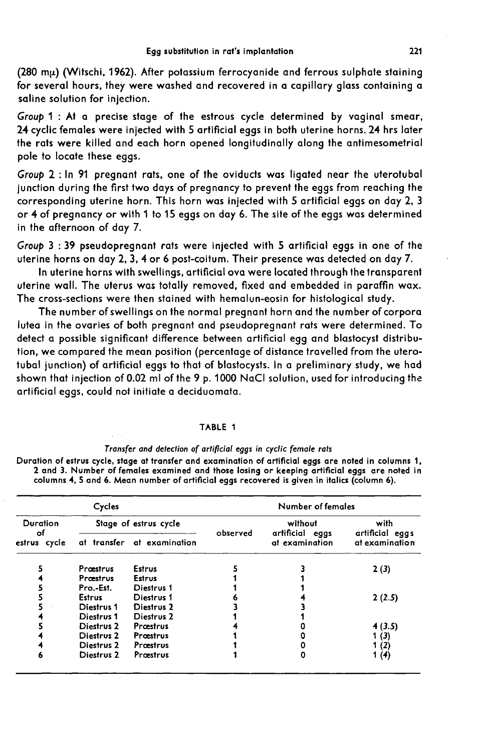$(280 \text{ m})$  (Witschi, 1962). After potassium ferrocyanide and ferrous sulphate staining for several hours, they were washed and recovered in a capillary glass containing a saline solution for injection.

Group 1 : At a precise stage of the estrous cycle determined by vaginal smear, 24 cyclic females were injected with 5 artificial eggs in both uterine horns. 24 hrs later the rats were killed and each horn opened longitudinally along the antimesometrial pole to locate these eggs.

Group 2 : In 91 pregnant rats, one of the oviducts was ligated near the uterotubal junction during the first two days of pregnancy to prevent the eggs from reaching the corresponding uterine horn. This horn was injected with 5 artificial eggs on day 2, 3 or 4 of pregnancy or with 1 to 15 eggs on day 6. The site of the eggs was determined in the afternoon of day 7.

Group 3 : 39 pseudopregnant rats were injected with 5 artificial eggs in one of the uterine horns on day 2, 3, 4 or 6 post-coitum. Their presence was detected on day 7.

In uterine horns with swellings, artificial ova were located through the transparent uterine wall. The uterus was totally removed, fixed and embedded in paraffin wax. The cross-sections were then stained with hemalun-eosin for histological study.

The number of swellings on the normal pregnant horn and the number of corpora lutea in the ovaries of both pregnant and pseudopregnant rats were determined. To detect a possible significant difference between artificial egg and blastocyst distribution, we compared the mean position (percentage of distance travelled from the uterotubal junction) of artificial eggs to that of blastocysts. In a preliminary study, we had shown that injection of 0.02 ml of the 9 p. 1000 NaCl solution, used for introducing the artificial eggs, could not initiate a deciduomata.

#### TABLE 1

#### Transfer and detection of artificial eggs in cyclic female rats

Duration of estrus cycle, stage at transfer and examination of artificial eggs are noted in columns 1, 2 and 3. Number of females examined and those losing or keeping artificial eggs are noted in columns 4, 5 and 6. Mean number of artificial eggs recovered is given in italics (column 6).

| Cycles                                |                       |                            | Number of females |                            |                         |  |  |
|---------------------------------------|-----------------------|----------------------------|-------------------|----------------------------|-------------------------|--|--|
| <b>Duration</b><br>оf<br>estrus cycle | Stage of estrus cycle |                            | observed          | without<br>artificial eggs | with<br>artificial eggs |  |  |
|                                       |                       | at transfer at examination |                   | at examination             | at examination          |  |  |
|                                       | Præstrus              | <b>Estrus</b>              |                   |                            | 2(3)                    |  |  |
|                                       | Prœstrus              | Estrus                     |                   |                            |                         |  |  |
|                                       | Pro.-Est.             | Diestrus 1                 |                   |                            |                         |  |  |
|                                       | <b>Estrus</b>         | Diestrus 1                 |                   |                            | 2(2.5)                  |  |  |
|                                       | Diestrus 1            | Diestrus <sub>2</sub>      |                   |                            |                         |  |  |
|                                       | Diestrus 1            | Diestrus 2                 |                   |                            |                         |  |  |
|                                       | Diestrus 2            | Prœstrus                   |                   |                            | 4(3.5)                  |  |  |
|                                       | Diestrus 2            | Præstrus                   |                   |                            | 1 (3)                   |  |  |
|                                       | Diestrus 2            | Proestrus                  |                   |                            | 1 (2)                   |  |  |
| ь                                     | Diestrus 2            | Proestrus                  |                   |                            | 1 (4)                   |  |  |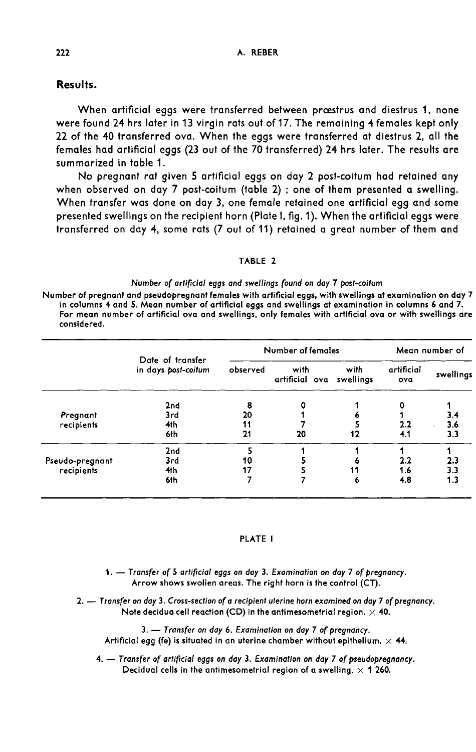# Results.

When artificial eggs were transferred between prœstrus and diestrus 1, none were found 24 hrs later in 13 virgin rats out of 17. The remaining 4 females kept only 22 of the 40 transferred ova. When the eggs were transferred at diestrus 2, all the females had artificial eggs (23 out of the 70 transferred) 24 hrs later. The results are summarized in table 1.

No pregnant rat given 5 artificial eggs on day 2 post-coitum had retained any when observed on day 7 post-coitum (table 2); one of them presented a swelling. When transfer was done on day 3, one female retained one artificial egg and some presented swellings on the recipient horn (Plate I, fig. 1). When the artificial eggs were transferred on day 4, some rats (7 out of 11) retained a great number of them and

## TABLE 2

Number of artificial eggs and swellings found on day 7 post-coitum

Number of pregnant and pseudopregnant females with artificial eggs, with swellings at examination on day 7 in columns 4 and 5. Mean number of artificial eggs and swellings at examination in columns 6 and 7. For mean number of artificial ova and swellings, only females with artificial ova or with swellings are considered.

|                               | Date of transfer<br>in days post-coitum | Number of females |                        |                   | Mean number of    |           |
|-------------------------------|-----------------------------------------|-------------------|------------------------|-------------------|-------------------|-----------|
|                               |                                         | observed          | with<br>artificial ova | with<br>swellings | artificial<br>ova | swellings |
|                               | 2nd                                     | 8                 |                        |                   |                   |           |
| Pregnant                      | 3rd                                     | 20                |                        | ь                 |                   | 3.4       |
| recipients                    | 4th                                     | 11                |                        |                   | 2.2               | 3.6       |
|                               | 6th                                     | 21                | 20                     | 12                | 4.1               | 3.3       |
|                               | 2nd                                     |                   |                        |                   |                   |           |
| Pseudo-pregnant<br>recipients | 3rd                                     | 10                |                        | ь                 | 2.2               | 2.3       |
|                               | 4th                                     | 17                |                        | 11                | 1.6               | 3.3       |
|                               | 6th                                     |                   |                        | 6                 | 4.8               | 1.3       |

#### PLATE 1

- 1. Transfer of 5 artificial eggs on day 3. Examination on day 7 of pregnancy. Arrow shows swollen areas. The right horn is the control (CT).
- 2. Transfer on day 3. Cross-section of a recipient uterine horn examined on day 7 of pregnancy. Note decidua cell reaction (CD) in the antimesometrial region.  $\times$  40.

3. - Transfer on day 6. Examination on day 7 of pregnancy. Artificial egg (fe) is situated in an uterine chamber without epithelium.  $\times$  44.

4. - Transfer of artificial eggs on day 3. Examination on day 7 of pseudopregnancy. Decidual cells in the antimesometrial region of a swelling,  $\times$  1 260.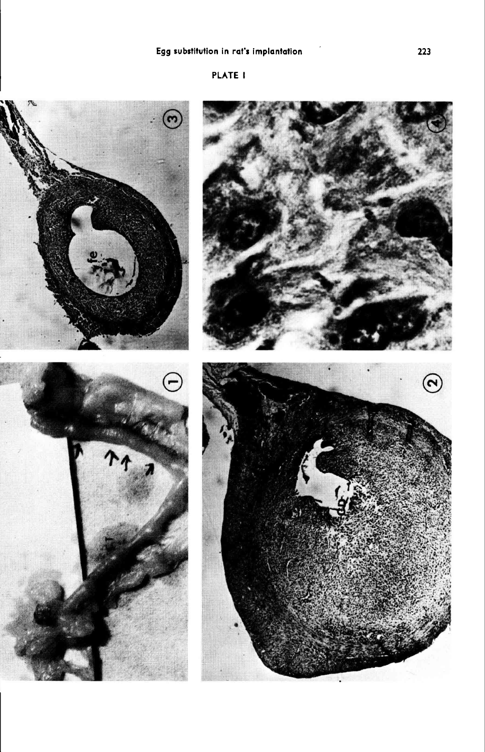# **PLATE I**

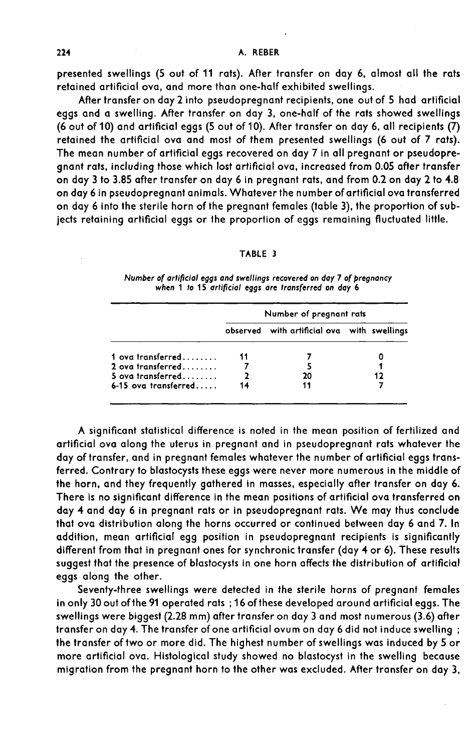presented swellings (5 out of 11 rats). After transfer on day 6, almost all the rats retained artificial ova, and more than one-half exhibited swellings.

After transfer on day 2 into pseudopregnant recipients, one out of 5 had artificial eggs and a swelling. After transfer on day 3, one-half of the rats showed swellings (6 out of 10) and artificial eggs (5 out of 10). After transfer on day 6, all recipients (7) retained the artificial ova and most of them presented swellings (6 out of 7 rats). The mean number of artificial eggs recovered on day 7 in all pregnant or pseudopregnant rats, including those which lost artificial ova, increased from 0.05 after transfer on day 3 to 3.85 after transfer on day 6 in pregnant rats, and from 0.2 on day 2 to 4.8 on day 6 in pseudopregnant animals. Whateverthe number of artificial ova transferred on day 6 into the sterile horn of the pregnant females (table 3), the proportion of subjects retaining artificial eggs or the proportion of eggs remaining fluctuated little.

#### TABLE 3

|                        | Number of pregnant rats |                                             |    |  |  |  |
|------------------------|-------------------------|---------------------------------------------|----|--|--|--|
|                        |                         | observed with artificial ova with swellings |    |  |  |  |
| 1 ova transferred      |                         |                                             |    |  |  |  |
| $2$ ova transferred    |                         |                                             |    |  |  |  |
| $5$ ova transferred    | 2                       | 20                                          | 12 |  |  |  |
| $6-15$ ova transferred | 14                      |                                             |    |  |  |  |

Number of artificial eggs and swellings recovered on day 7 of pregnancy when 1 to 15 artificial eggs are transferred on day 6

A significant statistical difference is noted in the mean position of fertilized and artificial ova along the uterus in pregnant and in pseudopregnant rats whatever the day of transfer, and in pregnant females whatever the number of artificial eggs transferred. Contrary to blastocysts these eggs were never more numerous in the middle of the horn, and they frequently gathered in masses, especially after transfer on day 6. There is no significant difference in the mean positions of artificial ova transferred on day 4 and day 6 in pregnant rats or in pseudopregnant rats. We may thus conclude that ova distribution along the horns occurred or continued between day 6 and 7. In addition, mean artificial egg position in pseudopregnant recipients is significantly different from that in pregnant ones for synchronic transfer (day 4 or 6). These results suggest that the presence of blastocysts in one horn affects the distribution of artificial eggs along the other.

Seventy-three swellings were detected in the sterile horns of pregnant females in only 30 out of the 91 operated rats ; 16 of these developed around artificial eggs. The swellings were biggest (2.28 mm) after transfer on day 3 and most numerous (3.6) after transfer on day 4. The transfer of one artificial ovum on day 6 did not induce swelling ; the transfer of two or more did. The highest number of swellings was induced by 5 or more artificial ova. Histological study showed no blastocyst in the swelling because migration from the pregnant horn to the other was excluded. After transfer on day 3,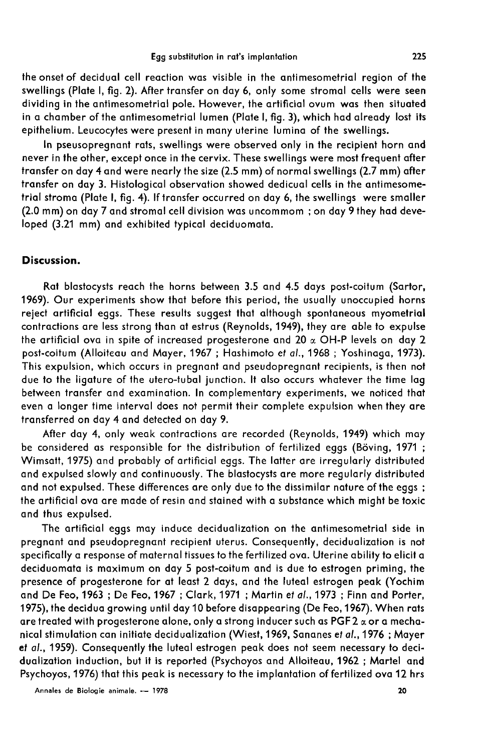the onset of decidual cell reaction was visible in the antimesometrial region of the swellings (Plate I, fig. 2). After transfer on day 6, only some stromal cells were seen dividing in the antimesometrial pole. However, the artificial ovum was then situated in a chamber of the antimesometrial lumen (Plate I, fig. 3), which had already lost its epithelium. Leucocytes were present in many uterine lumina of the swellings.

In pseusopregnant rats, swellings were observed only in the recipient horn and never in the other, except once in the cervix. These swellings were most frequent after transfer on day 4 and were nearly the size (2.5 mm) of normal swellings (2.7 mm) after transfer on day 3. Histological observation showed dedicual cells in the antimesometrial stroma (Plate I, fig. 4). If transfer occurred on day 6, the swellings were smaller (2.0 mm) on day 7 and stromal cell division was uncommom ; on day 9 they had developed (3.21 mm) and exhibited typical deciduomata.

# Discussion.

Rat blastocysts reach the horns between 3.5 and 4.5 days post-coitum (Sartor, 1969). Our experiments show that before this period, the usually unoccupied horns reject artificial eggs. These results suggest that although spontaneous myometrial contractions are less strong than at estrus (Reynolds, 1949), they are able to expulse the artificial ova in spite of increased progesterone and 20  $\mathrm{_{\alpha}}$  OH-P levels on day 2 post-coitum (Alloiteau and Mayer, 1967 ; Hashimoto et al., 1968 ; Yoshinaga, 1973). This expulsion, which occurs in pregnant and pseudopregnant recipients, is then not due to the ligature of the utero-tubal junction. It also occurs whatever the time lag between transfer and examination. In complementary experiments, we noticed that even a longer time interval does not permit their complete expulsion when they are transferred on day 4 and detected on day 9.

After day 4, only weak contractions are recorded (Reynolds, 1949) which may be considered as responsible for the distribution of fertilized eggs (Böving, 1971; Wimsatt, 1975) and probably of artificial eggs. The latter are irregularly distributed and expulsed slowly and continuously. The blastocysts are more regularly distributed and not expulsed. These differences are only due to the dissimilar nature of the eggs ; the artificial ova are made of resin and stained with a substance which might be toxic and thus expulsed.

The artificial eggs may induce decidualization on the antimesometrial side in pregnant and pseudopregnant recipient uterus. Consequently, decidualization is not specifically a response of maternal tissues to the fertilized ova. Uterine ability to elicit a deciduomata is maximum on day 5 post-coitum and is due to estrogen priming, the presence of progesterone for at least 2 days, and the luteal estrogen peak (Yochim and De Feo, 1963;De Feo, 1967;Clark, 1971;Martin et *al*., 1973;Finn and Porter, 1975), the decidua growing until day 10 before disappearing (De Feo, 1967). When rats are treated with progesterone alone, only a strong inducer such as PGF 2  $\vec{\alpha}$  or a mechanical stimulation can initiate decidualization (Wiest, 1969, Sananes et al.,1976 ; Mayer et al., 1959). Consequently the luteal estrogen peak does not seem necessary to decidualization induction, but it is reported (Psychoyos and Alloiteau, 1962 ; Martel and Psychoyos, 1976) that this peak is necessary to the implantation of fertilized ova 12 hrs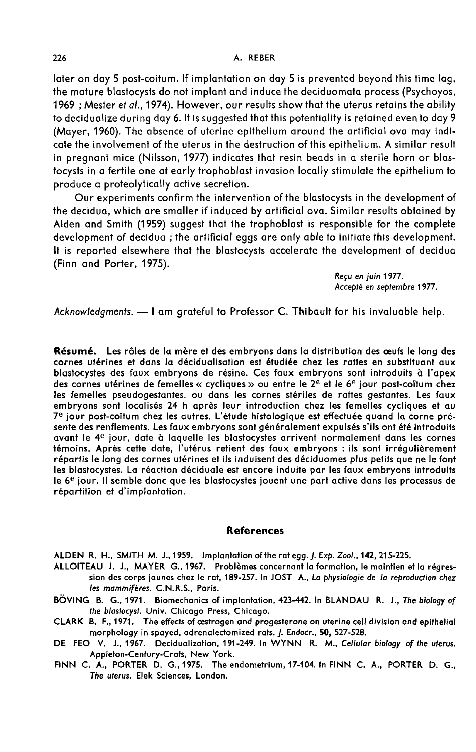later on day 5 post-coitum. If implantation on day 5 is prevented beyond this time lag, the mature blastocysts do not implant and induce the deciduomata process (Psychoyos, 1969 ; Mester et al., 1974). However, our results show that the uterus retains the ability to decidualize during day 6. It is suggested that this potentiality is retained even to day 9 (Mayer, 1960). The absence of uterine epithelium around the artificial ova may indicate the involvement of the uterus in the destruction of this epithelium. A similar result in pregnant mice (Nilsson, 1977) indicates that resin beads in a sterile horn or blastocysts in a fertile one at early trophoblast invasion locally stimulate the epithelium to produce a proteolytically active secretion.

Our experiments confirm the intervention of the blastocysts in the development of the decidua, which are smaller if induced by artificial ova. Similar results obtained by Alden and Smith (1959) suggest that the trophoblast is responsible for the complete development of decidua ; the artificial eggs are only able to initiate this development. It is reported elsewhere that the blastocysts accelerate the development of decidua (Finn and Porter, 1975).

> Reçu en juin 1977. Accepté en septembre 1977.

Acknowledgments. - I am grateful to Professor C. Thibault for his invaluable help.

Résumé. Les rôles de la mère et des embryons dans la distribution des œufs le long des cornes utérines et dans la décidualisation est étudiée chez les rattes en substituant aux blastocystes des faux embryons de résine. Ces faux embryons sont introduits à l'apex des cornes utérines de femelles « cycliques » ou entre le 2<sup>e</sup> et le 6<sup>e</sup> jour post-coïtum chez les femelles pseudogestantes, ou dans les cornes stériles de rattes gestantes. Les faux embryons sont localisés 24 h après leur introduction chez les femelles cycliques et au 7e jour post-coïtum chez les autres. L'étude histologique est effectuée quand la corne pré sente des renflements. Les faux embryons sont généralement expulsés s'ils ont été introduits avant le 4<sup>e</sup> jour, date à laquelle les blastocystes arrivent normalement dans les cornes témoins. Après cette date, l'utérus retient des faux embryons : ils sont irrégulièrement répartis le long des cornes utérines et ils induisent des déciduomes plus petits que ne le font les blastocystes. La réaction déciduale est encore induite par les faux embryons introduits le 6e jour. Il semble donc que les blastocystes jouent une part active dans les processus de répartition et d'implantation.

#### References

ALDEN R. H., SMITH M. J., 1959. Implantation of the rat egg. *J. Exp. Zool.,* **142,** 215-225.<br>ALLOITEAU J. J., MAYER G., 1967. Problèmes concernant la formation, le maintien et la régres-

- sion des corps jaunes chez le rat, 189-257. In JOST A., La physiologie de la reproduction chez les mammifères. C.N.R.S., Paris.
- BÖVING B. G., 1971. Biomechanics of implantation, 423-442. In BLANDAU R. J., The biology of the blastocyst. Univ. Chicago Press, Chicago.
- CLARK B. F., 1971. The effects of cestrogen and progesterone on uterine cell division and epithelial morphology in spayed, adrenalectomized rats. *J. Endocr.*, 50, 527-528.
- DE FEO V. J., 1967. Decidualization, 191-249. In WYNN R. M., Cellular biology of the uterus. Appleton-Century-Crots, New York.
- FINN C. A., PORTER D. G., 1975. The endometrium, 17-104. In FINN C. A., PORTER D. G., The uterus. Elek Sciences, London.